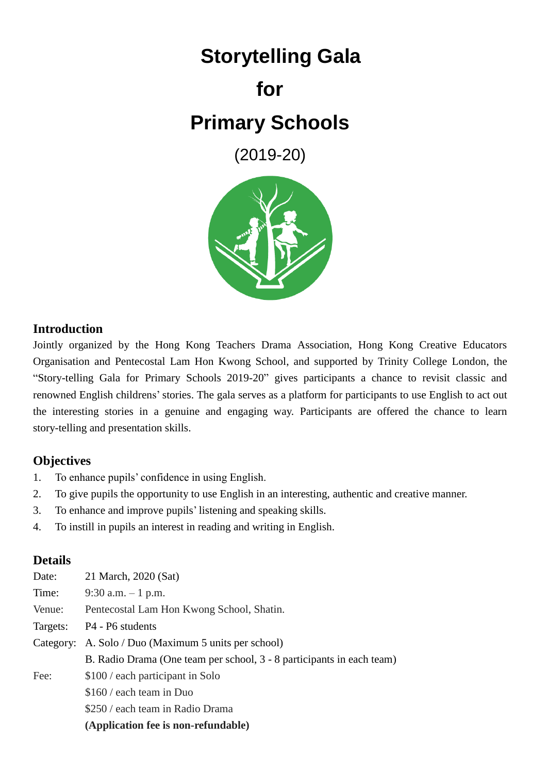# **Storytelling Gala for Primary Schools**

(2019-20)



#### **Introduction**

Jointly organized by the Hong Kong Teachers Drama Association, Hong Kong Creative Educators Organisation and Pentecostal Lam Hon Kwong School, and supported by Trinity College London, the "Story-telling Gala for Primary Schools 2019-20" gives participants a chance to revisit classic and renowned English childrens' stories. The gala serves as a platform for participants to use English to act out the interesting stories in a genuine and engaging way. Participants are offered the chance to learn story-telling and presentation skills.

## **Objectives**

- 1. To enhance pupils' confidence in using English.
- 2. To give pupils the opportunity to use English in an interesting, authentic and creative manner.
- 3. To enhance and improve pupils' listening and speaking skills.
- 4. To instill in pupils an interest in reading and writing in English.

#### **Details**

| Date:    | 21 March, 2020 (Sat)                                                  |  |
|----------|-----------------------------------------------------------------------|--|
| Time:    | 9:30 a.m. $-1$ p.m.                                                   |  |
| Venue:   | Pentecostal Lam Hon Kwong School, Shatin.                             |  |
| Targets: | P4 - P6 students                                                      |  |
|          | Category: A. Solo / Duo (Maximum 5 units per school)                  |  |
|          | B. Radio Drama (One team per school, 3 - 8 participants in each team) |  |
| Fee:     | \$100 / each participant in Solo                                      |  |
|          | \$160 / each team in Duo                                              |  |
|          | \$250 / each team in Radio Drama                                      |  |
|          | (Application fee is non-refundable)                                   |  |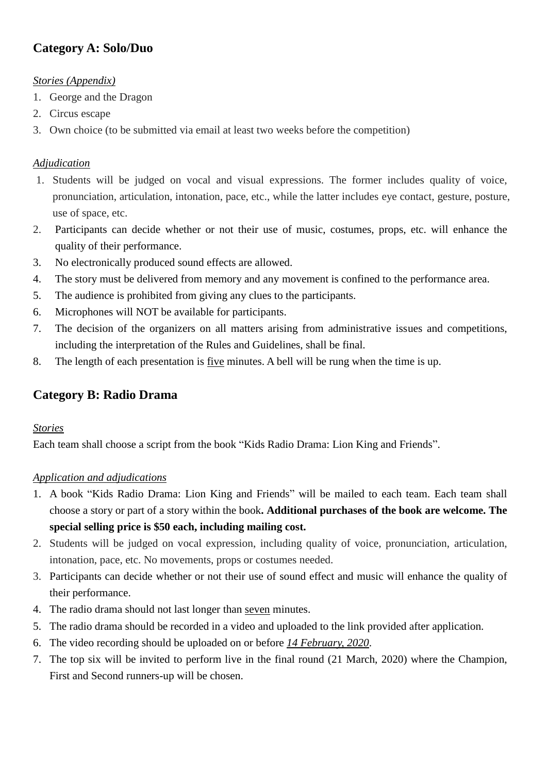# **Category A: Solo/Duo**

#### *Stories (Appendix)*

- 1. George and the Dragon
- 2. Circus escape
- 3. Own choice (to be submitted via email at least two weeks before the competition)

#### *Adjudication*

- 1. Students will be judged on vocal and visual expressions. The former includes quality of voice, pronunciation, articulation, intonation, pace, etc., while the latter includes eye contact, gesture, posture, use of space, etc.
- 2. Participants can decide whether or not their use of music, costumes, props, etc. will enhance the quality of their performance.
- 3. No electronically produced sound effects are allowed.
- 4. The story must be delivered from memory and any movement is confined to the performance area.
- 5. The audience is prohibited from giving any clues to the participants.
- 6. Microphones will NOT be available for participants.
- 7. The decision of the organizers on all matters arising from administrative issues and competitions, including the interpretation of the Rules and Guidelines, shall be final.
- 8. The length of each presentation is five minutes. A bell will be rung when the time is up.

#### **Category B: Radio Drama**

#### *Stories*

Each team shall choose a script from the book "Kids Radio Drama: Lion King and Friends".

#### *Application and adjudications*

- 1. A book "Kids Radio Drama: Lion King and Friends" will be mailed to each team. Each team shall choose a story or part of a story within the book**. Additional purchases of the book are welcome. The special selling price is \$50 each, including mailing cost.**
- 2. Students will be judged on vocal expression, including quality of voice, pronunciation, articulation, intonation, pace, etc. No movements, props or costumes needed.
- 3. Participants can decide whether or not their use of sound effect and music will enhance the quality of their performance.
- 4. The radio drama should not last longer than seven minutes.
- 5. The radio drama should be recorded in a video and uploaded to the link provided after application.
- 6. The video recording should be uploaded on or before *14 February, 2020*.
- 7. The top six will be invited to perform live in the final round (21 March, 2020) where the Champion, First and Second runners-up will be chosen.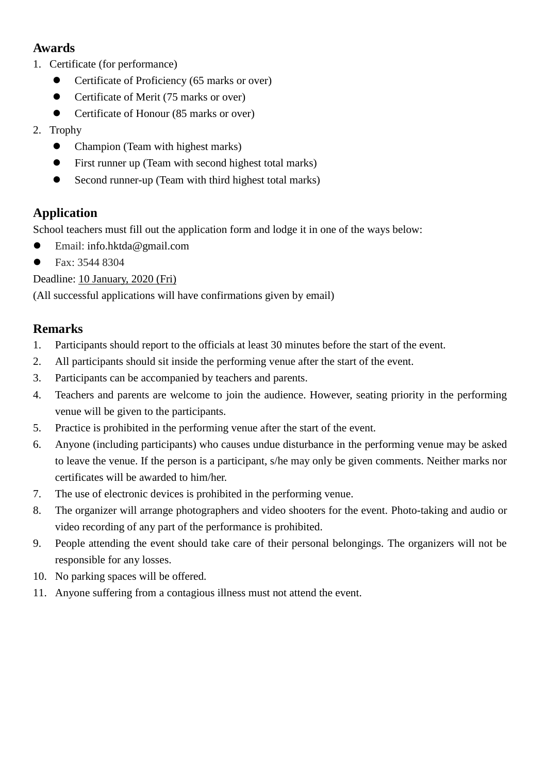# **Awards**

- 1. Certificate (for performance)
	- Certificate of Proficiency (65 marks or over)
	- Certificate of Merit (75 marks or over)
	- Certificate of Honour (85 marks or over)
- 2. Trophy
	- Champion (Team with highest marks)
	- First runner up (Team with second highest total marks)
	- Second runner-up (Team with third highest total marks)

## **Application**

School teachers must fill out the application form and lodge it in one of the ways below:

- Email: info.hktda@gmail.com
- Fax: 3544 8304

Deadline: 10 January, 2020 (Fri)

(All successful applications will have confirmations given by email)

#### **Remarks**

- 1. Participants should report to the officials at least 30 minutes before the start of the event.
- 2. All participants should sit inside the performing venue after the start of the event.
- 3. Participants can be accompanied by teachers and parents.
- 4. Teachers and parents are welcome to join the audience. However, seating priority in the performing venue will be given to the participants.
- 5. Practice is prohibited in the performing venue after the start of the event.
- 6. Anyone (including participants) who causes undue disturbance in the performing venue may be asked to leave the venue. If the person is a participant, s/he may only be given comments. Neither marks nor certificates will be awarded to him/her.
- 7. The use of electronic devices is prohibited in the performing venue.
- 8. The organizer will arrange photographers and video shooters for the event. Photo-taking and audio or video recording of any part of the performance is prohibited.
- 9. People attending the event should take care of their personal belongings. The organizers will not be responsible for any losses.
- 10. No parking spaces will be offered.
- 11. Anyone suffering from a contagious illness must not attend the event.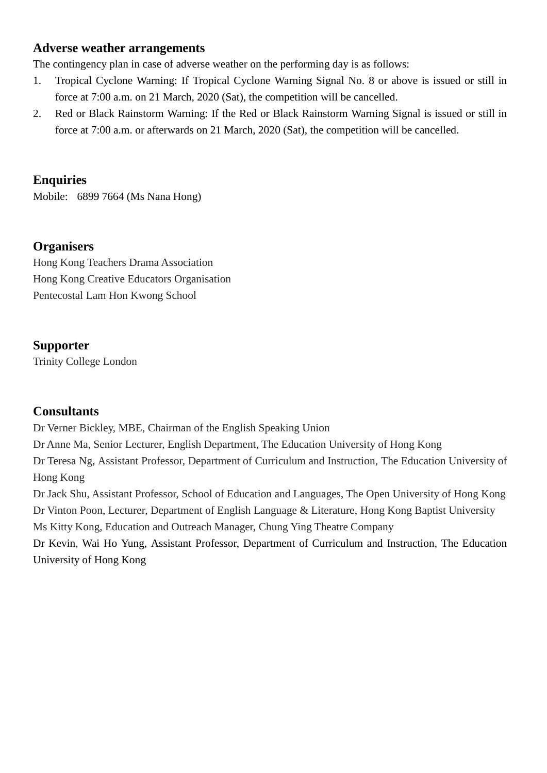#### **Adverse weather arrangements**

The contingency plan in case of adverse weather on the performing day is as follows:

- 1. Tropical Cyclone Warning: If Tropical Cyclone Warning Signal No. 8 or above is issued or still in force at 7:00 a.m. on 21 March, 2020 (Sat), the competition will be cancelled.
- 2. Red or Black Rainstorm Warning: If the Red or Black Rainstorm Warning Signal is issued or still in force at 7:00 a.m. or afterwards on 21 March, 2020 (Sat), the competition will be cancelled.

#### **Enquiries**

Mobile: 6899 7664 (Ms Nana Hong)

#### **Organisers**

Hong Kong Teachers Drama Association Hong Kong Creative Educators Organisation Pentecostal Lam Hon Kwong School

#### **Supporter**

Trinity College London

#### **Consultants**

Dr Verner Bickley, MBE, Chairman of the English Speaking Union Dr Anne Ma, Senior Lecturer, English Department, The Education University of Hong Kong Dr Teresa Ng, Assistant Professor, Department of Curriculum and Instruction, The Education University of Hong Kong

Dr Jack Shu, Assistant Professor, School of Education and Languages, The Open University of Hong Kong Dr Vinton Poon, Lecturer, Department of English Language & Literature, Hong Kong Baptist University Ms Kitty Kong, Education and Outreach Manager, Chung Ying Theatre Company Dr Kevin, Wai Ho Yung, Assistant Professor, Department of Curriculum and Instruction, The Education

University of Hong Kong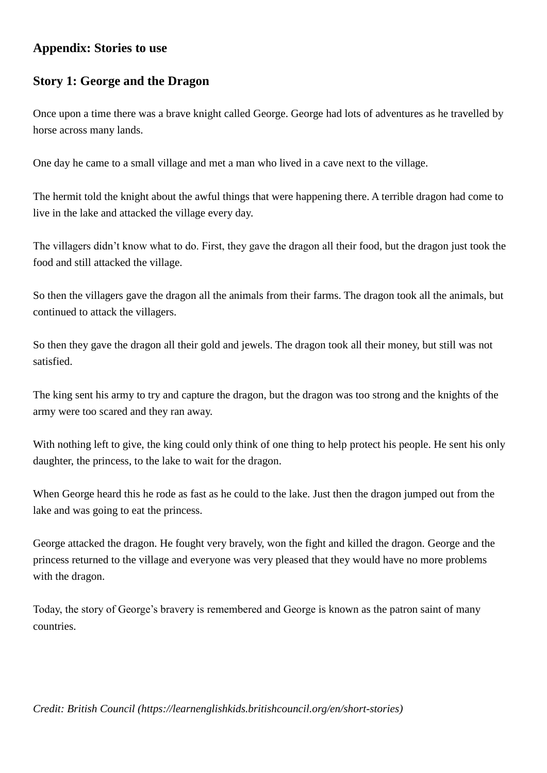#### **Appendix: Stories to use**

# **Story 1: George and the Dragon**

Once upon a time there was a brave knight called George. George had lots of adventures as he travelled by horse across many lands.

One day he came to a small village and met a man who lived in a cave next to the village.

The hermit told the knight about the awful things that were happening there. A terrible dragon had come to live in the lake and attacked the village every day.

The villagers didn't know what to do. First, they gave the dragon all their food, but the dragon just took the food and still attacked the village.

So then the villagers gave the dragon all the animals from their farms. The dragon took all the animals, but continued to attack the villagers.

So then they gave the dragon all their gold and jewels. The dragon took all their money, but still was not satisfied.

The king sent his army to try and capture the dragon, but the dragon was too strong and the knights of the army were too scared and they ran away.

With nothing left to give, the king could only think of one thing to help protect his people. He sent his only daughter, the princess, to the lake to wait for the dragon.

When George heard this he rode as fast as he could to the lake. Just then the dragon jumped out from the lake and was going to eat the princess.

George attacked the dragon. He fought very bravely, won the fight and killed the dragon. George and the princess returned to the village and everyone was very pleased that they would have no more problems with the dragon.

Today, the story of George's bravery is remembered and George is known as the patron saint of many countries.

*Credit: British Council (https://learnenglishkids.britishcouncil.org/en/short-stories)*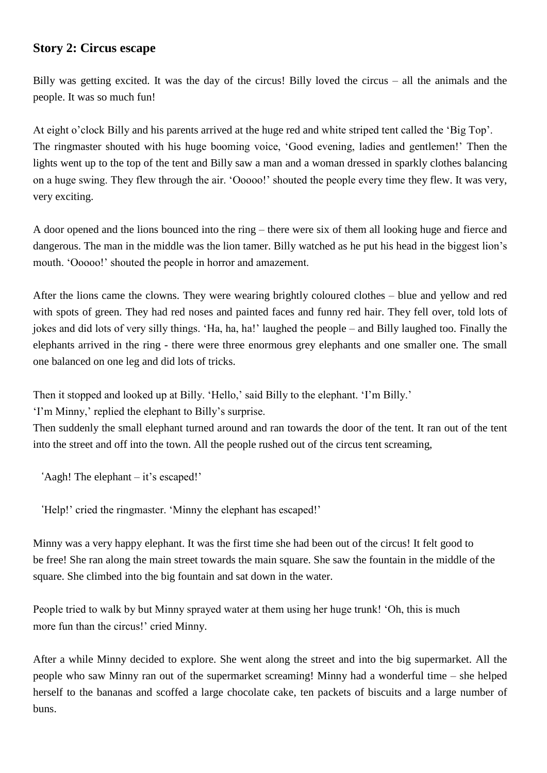#### **Story 2: Circus escape**

Billy was getting excited. It was the day of the circus! Billy loved the circus – all the animals and the people. It was so much fun!

At eight o'clock Billy and his parents arrived at the huge red and white striped tent called the 'Big Top'. The ringmaster shouted with his huge booming voice, 'Good evening, ladies and gentlemen!' Then the lights went up to the top of the tent and Billy saw a man and a woman dressed in sparkly clothes balancing on a huge swing. They flew through the air. 'Ooooo!' shouted the people every time they flew. It was very, very exciting.

A door opened and the lions bounced into the ring – there were six of them all looking huge and fierce and dangerous. The man in the middle was the lion tamer. Billy watched as he put his head in the biggest lion's mouth. 'Ooooo!' shouted the people in horror and amazement.

After the lions came the clowns. They were wearing brightly coloured clothes – blue and yellow and red with spots of green. They had red noses and painted faces and funny red hair. They fell over, told lots of jokes and did lots of very silly things. 'Ha, ha, ha!' laughed the people – and Billy laughed too. Finally the elephants arrived in the ring - there were three enormous grey elephants and one smaller one. The small one balanced on one leg and did lots of tricks.

Then it stopped and looked up at Billy. 'Hello,' said Billy to the elephant. 'I'm Billy.'

'I'm Minny,' replied the elephant to Billy's surprise.

Then suddenly the small elephant turned around and ran towards the door of the tent. It ran out of the tent into the street and off into the town. All the people rushed out of the circus tent screaming,

'Aagh! The elephant – it's escaped!'

'Help!' cried the ringmaster. 'Minny the elephant has escaped!'

Minny was a very happy elephant. It was the first time she had been out of the circus! It felt good to be free! She ran along the main street towards the main square. She saw the fountain in the middle of the square. She climbed into the big fountain and sat down in the water.

People tried to walk by but Minny sprayed water at them using her huge trunk! 'Oh, this is much more fun than the circus!' cried Minny.

After a while Minny decided to explore. She went along the street and into the big supermarket. All the people who saw Minny ran out of the supermarket screaming! Minny had a wonderful time – she helped herself to the bananas and scoffed a large chocolate cake, ten packets of biscuits and a large number of buns.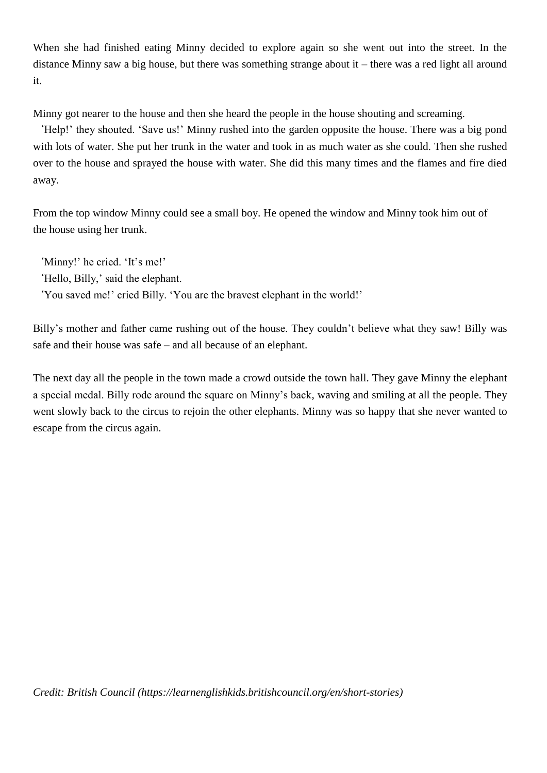When she had finished eating Minny decided to explore again so she went out into the street. In the distance Minny saw a big house, but there was something strange about it – there was a red light all around it.

Minny got nearer to the house and then she heard the people in the house shouting and screaming.

'Help!' they shouted. 'Save us!' Minny rushed into the garden opposite the house. There was a big pond with lots of water. She put her trunk in the water and took in as much water as she could. Then she rushed over to the house and sprayed the house with water. She did this many times and the flames and fire died away.

From the top window Minny could see a small boy. He opened the window and Minny took him out of the house using her trunk.

'Minny!' he cried. 'It's me!' 'Hello, Billy,' said the elephant.

'You saved me!' cried Billy. 'You are the bravest elephant in the world!'

Billy's mother and father came rushing out of the house. They couldn't believe what they saw! Billy was safe and their house was safe – and all because of an elephant.

The next day all the people in the town made a crowd outside the town hall. They gave Minny the elephant a special medal. Billy rode around the square on Minny's back, waving and smiling at all the people. They went slowly back to the circus to rejoin the other elephants. Minny was so happy that she never wanted to escape from the circus again.

*Credit: British Council (https://learnenglishkids.britishcouncil.org/en/short-stories)*